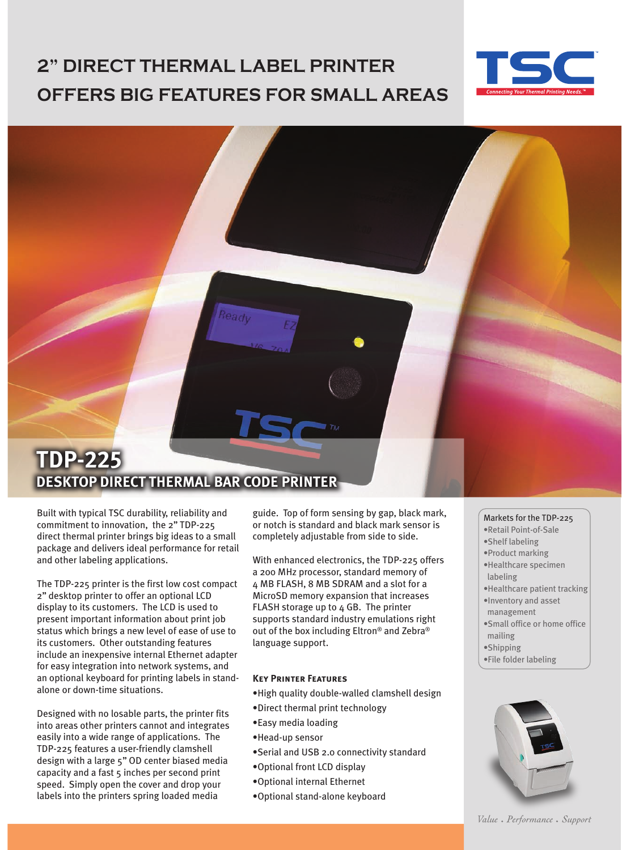# **2" DIRECT THERMAL LABEL PRINTER OFFERS BIG FEATURES FOR SMALL AREAS**



### **TDP-225 DESKTOP DIRECT THERMAL BAR CODE PRINTER**

Built with typical TSC durability, reliability and commitment to innovation, the 2'' TDP-225 direct thermal printer brings big ideas to a small package and delivers ideal performance for retail and other labeling applications.

The TDP-225 printer is the first low cost compact 2'' desktop printer to offer an optional LCD display to its customers. The LCD is used to present important information about print job status which brings a new level of ease of use to its customers. Other outstanding features include an inexpensive internal Ethernet adapter for easy integration into network systems, and an optional keyboard for printing labels in standalone or down-time situations.

Designed with no losable parts, the printer fits into areas other printers cannot and integrates easily into a wide range of applications. The TDP-225 features a user-friendly clamshell design with a large 5'' OD center biased media capacity and a fast 5 inches per second print speed. Simply open the cover and drop your labels into the printers spring loaded media

guide. Top of form sensing by gap, black mark, or notch is standard and black mark sensor is completely adjustable from side to side.

With enhanced electronics, the TDP-225 offers a 200 MHz processor, standard memory of 4 MB FLASH, 8 MB SDRAM and a slot for a MicroSD memory expansion that increases FLASH storage up to 4 GB. The printer supports standard industry emulations right out of the box including Eltron® and Zebra® language support.

#### **Key Printer Features**

- •High quality double-walled clamshell design
- •Direct thermal print technology
- •Easy media loading
- •Head-up sensor
- •Serial and USB 2.0 connectivity standard
- •Optional front LCD display
- •Optional internal Ethernet
- •Optional stand-alone keyboard

#### Markets for the TDP-225

- •Retail Point-of-Sale
- •Shelf labeling
- •Product marking
- •Healthcare specimen labeling
- •Healthcare patient tracking
- •Inventory and asset management
- •Small office or home office mailing
- •Shipping
- •File folder labeling



Value • Performance • Support